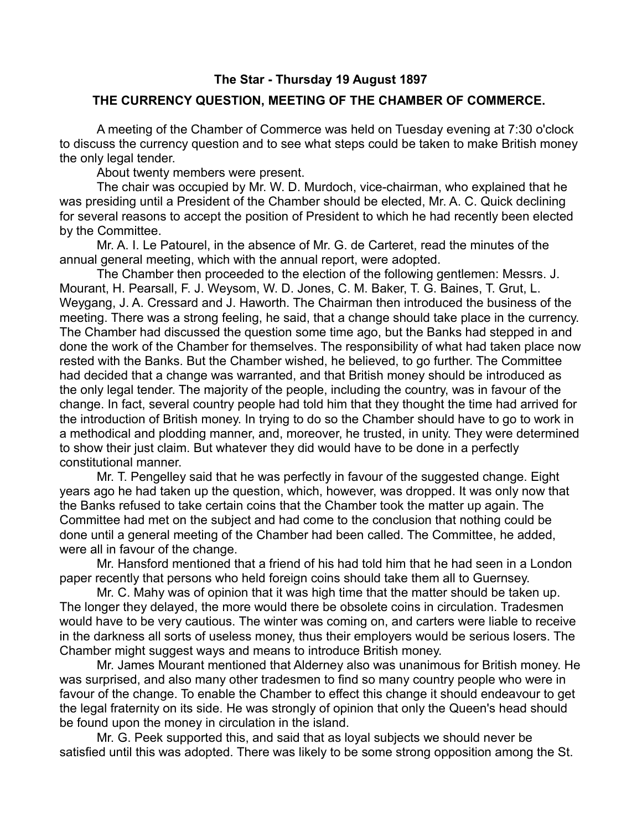## **The Star - Thursday 19 August 1897**

## **THE CURRENCY QUESTION, MEETING OF THE CHAMBER OF COMMERCE.**

A meeting of the Chamber of Commerce was held on Tuesday evening at 7:30 o'clock to discuss the currency question and to see what steps could be taken to make British money the only legal tender.

About twenty members were present.

The chair was occupied by Mr. W. D. Murdoch, vice-chairman, who explained that he was presiding until a President of the Chamber should be elected, Mr. A. C. Quick declining for several reasons to accept the position of President to which he had recently been elected by the Committee.

Mr. A. I. Le Patourel, in the absence of Mr. G. de Carteret, read the minutes of the annual general meeting, which with the annual report, were adopted.

The Chamber then proceeded to the election of the following gentlemen: Messrs. J. Mourant, H. Pearsall, F. J. Weysom, W. D. Jones, C. M. Baker, T. G. Baines, T. Grut, L. Weygang, J. A. Cressard and J. Haworth. The Chairman then introduced the business of the meeting. There was a strong feeling, he said, that a change should take place in the currency. The Chamber had discussed the question some time ago, but the Banks had stepped in and done the work of the Chamber for themselves. The responsibility of what had taken place now rested with the Banks. But the Chamber wished, he believed, to go further. The Committee had decided that a change was warranted, and that British money should be introduced as the only legal tender. The majority of the people, including the country, was in favour of the change. In fact, several country people had told him that they thought the time had arrived for the introduction of British money. In trying to do so the Chamber should have to go to work in a methodical and plodding manner, and, moreover, he trusted, in unity. They were determined to show their just claim. But whatever they did would have to be done in a perfectly constitutional manner.

Mr. T. Pengelley said that he was perfectly in favour of the suggested change. Eight years ago he had taken up the question, which, however, was dropped. It was only now that the Banks refused to take certain coins that the Chamber took the matter up again. The Committee had met on the subject and had come to the conclusion that nothing could be done until a general meeting of the Chamber had been called. The Committee, he added, were all in favour of the change.

Mr. Hansford mentioned that a friend of his had told him that he had seen in a London paper recently that persons who held foreign coins should take them all to Guernsey.

Mr. C. Mahy was of opinion that it was high time that the matter should be taken up. The longer they delayed, the more would there be obsolete coins in circulation. Tradesmen would have to be very cautious. The winter was coming on, and carters were liable to receive in the darkness all sorts of useless money, thus their employers would be serious losers. The Chamber might suggest ways and means to introduce British money.

Mr. James Mourant mentioned that Alderney also was unanimous for British money. He was surprised, and also many other tradesmen to find so many country people who were in favour of the change. To enable the Chamber to effect this change it should endeavour to get the legal fraternity on its side. He was strongly of opinion that only the Queen's head should be found upon the money in circulation in the island.

Mr. G. Peek supported this, and said that as loyal subjects we should never be satisfied until this was adopted. There was likely to be some strong opposition among the St.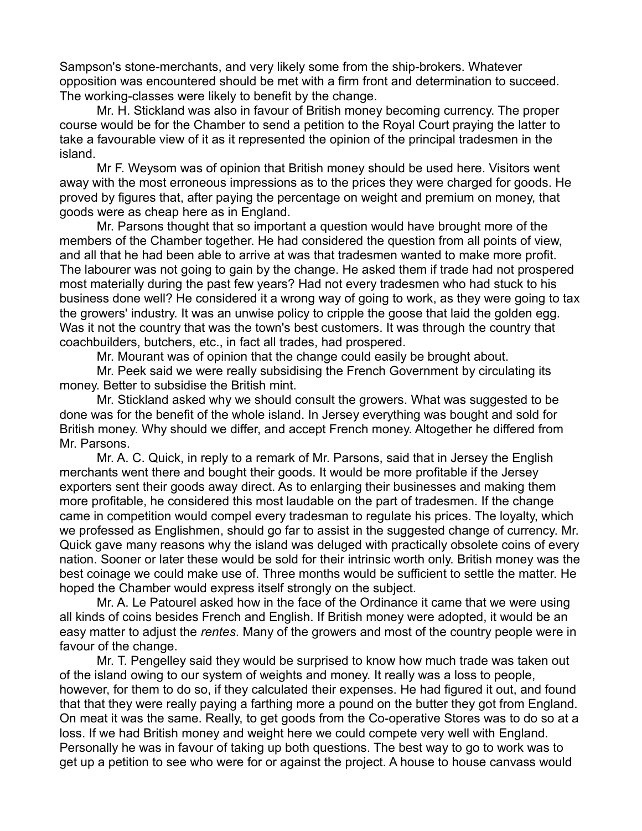Sampson's stone-merchants, and very likely some from the ship-brokers. Whatever opposition was encountered should be met with a firm front and determination to succeed. The working-classes were likely to benefit by the change.

Mr. H. Stickland was also in favour of British money becoming currency. The proper course would be for the Chamber to send a petition to the Royal Court praying the latter to take a favourable view of it as it represented the opinion of the principal tradesmen in the island.

Mr F. Weysom was of opinion that British money should be used here. Visitors went away with the most erroneous impressions as to the prices they were charged for goods. He proved by figures that, after paying the percentage on weight and premium on money, that goods were as cheap here as in England.

Mr. Parsons thought that so important a question would have brought more of the members of the Chamber together. He had considered the question from all points of view, and all that he had been able to arrive at was that tradesmen wanted to make more profit. The labourer was not going to gain by the change. He asked them if trade had not prospered most materially during the past few years? Had not every tradesmen who had stuck to his business done well? He considered it a wrong way of going to work, as they were going to tax the growers' industry. It was an unwise policy to cripple the goose that laid the golden egg. Was it not the country that was the town's best customers. It was through the country that coachbuilders, butchers, etc., in fact all trades, had prospered.

Mr. Mourant was of opinion that the change could easily be brought about.

Mr. Peek said we were really subsidising the French Government by circulating its money. Better to subsidise the British mint.

Mr. Stickland asked why we should consult the growers. What was suggested to be done was for the benefit of the whole island. In Jersey everything was bought and sold for British money. Why should we differ, and accept French money. Altogether he differed from Mr. Parsons.

Mr. A. C. Quick, in reply to a remark of Mr. Parsons, said that in Jersey the English merchants went there and bought their goods. It would be more profitable if the Jersey exporters sent their goods away direct. As to enlarging their businesses and making them more profitable, he considered this most laudable on the part of tradesmen. If the change came in competition would compel every tradesman to regulate his prices. The loyalty, which we professed as Englishmen, should go far to assist in the suggested change of currency. Mr. Quick gave many reasons why the island was deluged with practically obsolete coins of every nation. Sooner or later these would be sold for their intrinsic worth only. British money was the best coinage we could make use of. Three months would be sufficient to settle the matter. He hoped the Chamber would express itself strongly on the subject.

Mr. A. Le Patourel asked how in the face of the Ordinance it came that we were using all kinds of coins besides French and English. If British money were adopted, it would be an easy matter to adjust the *rentes*. Many of the growers and most of the country people were in favour of the change.

Mr. T. Pengelley said they would be surprised to know how much trade was taken out of the island owing to our system of weights and money. It really was a loss to people, however, for them to do so, if they calculated their expenses. He had figured it out, and found that that they were really paying a farthing more a pound on the butter they got from England. On meat it was the same. Really, to get goods from the Co-operative Stores was to do so at a loss. If we had British money and weight here we could compete very well with England. Personally he was in favour of taking up both questions. The best way to go to work was to get up a petition to see who were for or against the project. A house to house canvass would